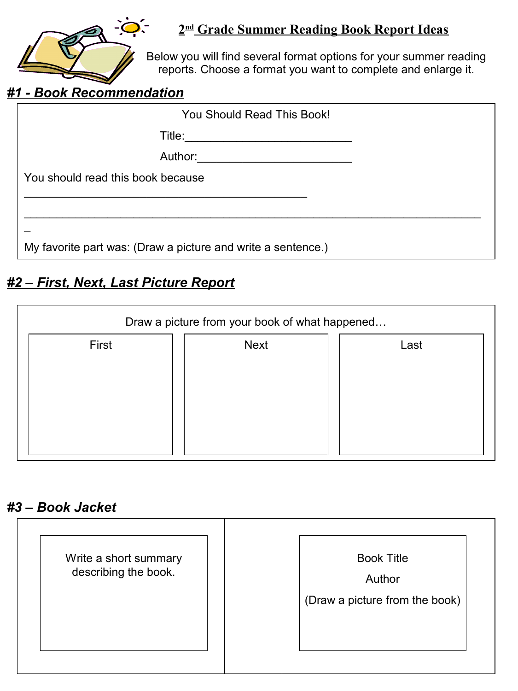

#### **2 nd Grade Summer Reading Book Report Ideas**

Below you will find several format options for your summer reading reports. Choose a format you want to complete and enlarge it.

#### *#1 - Book Recommendation*

| You Should Read This Book!                                   |  |
|--------------------------------------------------------------|--|
| Title:                                                       |  |
| Author: _____________________                                |  |
| You should read this book because                            |  |
|                                                              |  |
|                                                              |  |
| My favorite part was: (Draw a picture and write a sentence.) |  |

## *#2 – First, Next, Last Picture Report*

| Draw a picture from your book of what happened |             |      |  |
|------------------------------------------------|-------------|------|--|
| First                                          | <b>Next</b> | Last |  |
|                                                |             |      |  |
|                                                |             |      |  |
|                                                |             |      |  |
|                                                |             |      |  |

# *#3 – Book Jacket*